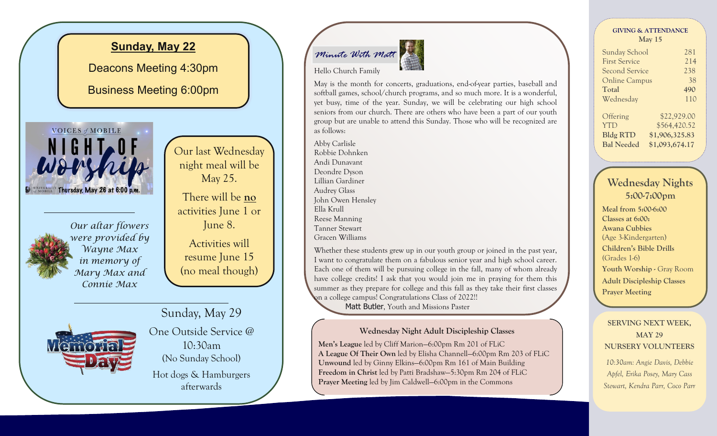

# *Minute With Matt*

Hello Church Family



May is the month for concerts, graduations, end-of-year parties, baseball and softball games, school/church programs, and so much more. It is a wonderful, yet busy, time of the year. Sunday, we will be celebrating our high school seniors from our church. There are others who have been a part of our youth group but are unable to attend this Sunday. Those who will be recognized are as follows:

Abby Carlisle Robbie Dohnken Andi Dunavant Deondre Dyson Lillian Gardiner Audrey Glass John Owen Hensley Ella Krull Reese Manning Tanner Stewart Gracen Williams

Whether these students grew up in our youth group or joined in the past year, I want to congratulate them on a fabulous senior year and high school career. Each one of them will be pursuing college in the fall, many of whom already have college credits! I ask that you would join me in praying for them this summer as they prepare for college and this fall as they take their first classes on a college campus! Congratulations Class of 2022!!

Matt Butler, Youth and Missions Paster

## **Wednesday Night Adult Discipleship Classes**

**Men's League** led by Cliff Marion—6:00pm Rm 201 of FLiC **A League Of Their Own** led by Elisha Channell—6:00pm Rm 203 of FLiC **Unwound** led by Ginny Elkins—6:00pm Rm 161 of Main Building **Freedom in Christ** led by Patti Bradshaw—5:30pm Rm 204 of FLiC **Prayer Meeting** led by Jim Caldwell—6:00pm in the Commons

| <b>GIVING &amp; ATTENDANCE</b> |     |  |
|--------------------------------|-----|--|
| $\text{Mav}$ 15                |     |  |
| Sunday School                  | 281 |  |

| $\sigma$ and $\sigma$ $\sigma$ $\sigma$ |                |
|-----------------------------------------|----------------|
| <b>First Service</b>                    | 214            |
| <b>Second Service</b>                   | 238            |
| <b>Online Campus</b>                    | 38             |
| Total                                   | 490            |
| Wednesday                               | 110            |
| Offering                                | \$22,929.00    |
| <b>YTD</b>                              | \$564,420.52   |
| <b>Bldg RTD</b>                         | \$1,906,325.83 |
| <b>Bal Needed</b>                       | \$1,093,674.17 |
|                                         |                |

## **Wednesday Nights 5:00-7:00pm**

**Meal from 5:00-6:00 Classes at 6:00: Awana Cubbies**  (Age 3-Kindergarten) **Children's Bible Drills (**Grades 1-6) **Youth Worship -** Gray Room**Adult Discipleship Classes Prayer Meeting**

**SERVING NEXT WEEK, MAY 29 NURSERY VOLUNTEERS**  *10:30am: Angie Davis, Debbie Apfel, Erika Posey, Mary Cass Stewart, Kendra Parr, Coco Parr*